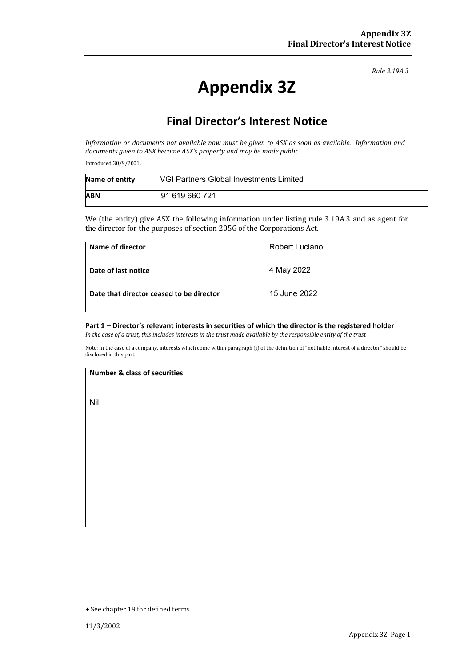*Rule 3.19A.3*

# **Appendix 3Z**

# **Final Director's Interest Notice**

*Information or documents not available now must be given to ASX as soon as available. Information and documents given to ASX become ASX's property and may be made public.*

Introduced 30/9/2001.

| Name of entity | VGI Partners Global Investments Limited |
|----------------|-----------------------------------------|
| <b>ABN</b>     | 91 619 660 721                          |

We (the entity) give ASX the following information under listing rule 3.19A.3 and as agent for the director for the purposes of section 205G of the Corporations Act.

| Name of director                         | Robert Luciano |
|------------------------------------------|----------------|
| Date of last notice                      | 4 May 2022     |
| Date that director ceased to be director | 15 June 2022   |

#### **Part 1 – Director's relevant interests in securities of which the director is the registered holder**

*In the case of a trust, this includes interests in the trust made available by the responsible entity of the trust*

Note: In the case of a company, interests which come within paragraph (i) of the definition of "notifiable interest of a director" should be disclosed in this part.

#### **Number & class of securities**

Nil

<sup>+</sup> See chapter 19 for defined terms.